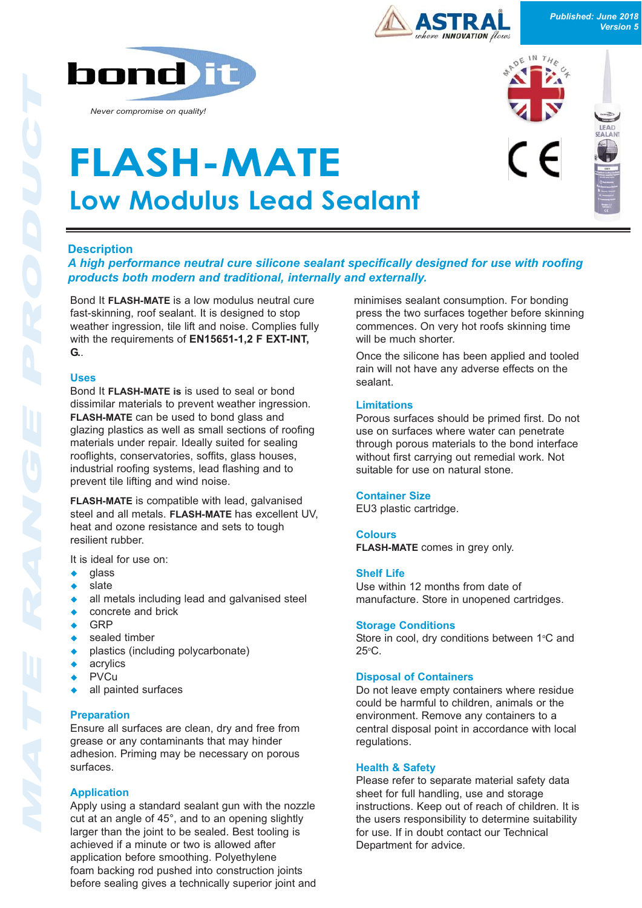



# **Description**

*A high performance neutral cure silicone sealant specifically designed for use with roofing products both modern and traditional, internally and externally.* 

Bond It **FLASH-MATE** is a low modulus neutral cure fast-skinning, roof sealant. It is designed to stop weather ingression, tile lift and noise. Complies fully with the requirements of **EN15651-1,2 F EXT-INT, G.**.

#### **Uses**

Bond It **FLASH-MATE is** is used to seal or bond dissimilar materials to prevent weather ingression. **FLASH-MATE** can be used to bond glass and glazing plastics as well as small sections of roofing materials under repair. Ideally suited for sealing rooflights, conservatories, soffits, glass houses, industrial roofing systems, lead flashing and to prevent tile lifting and wind noise.

**FLASH-MATE** is compatible with lead, galvanised steel and all metals. **FLASH-MATE** has excellent UV, heat and ozone resistance and sets to tough resilient rubber.

It is ideal for use on:

- qlass
- slate
- all metals including lead and galvanised steel
- concrete and brick
- **GRP**
- sealed timber
- plastics (including polycarbonate)
- acrylics
- PVCu
- all painted surfaces

## **Preparation**

Ensure all surfaces are clean, dry and free from grease or any contaminants that may hinder adhesion. Priming may be necessary on porous surfaces.

## **Application**

Apply using a standard sealant gun with the nozzle cut at an angle of 45°, and to an opening slightly larger than the joint to be sealed. Best tooling is achieved if a minute or two is allowed after application before smoothing. Polyethylene foam backing rod pushed into construction joints before sealing gives a technically superior joint and minimises sealant consumption. For bonding press the two surfaces together before skinning commences. On very hot roofs skinning time will be much shorter.

Once the silicone has been applied and tooled rain will not have any adverse effects on the sealant.

## **Limitations**

Porous surfaces should be primed first. Do not use on surfaces where water can penetrate through porous materials to the bond interface without first carrying out remedial work. Not suitable for use on natural stone.

## **Container Size**

EU3 plastic cartridge.

## **Colours**

**FLASH-MATE** comes in grey only.

## **Shelf Life**

Use within 12 months from date of manufacture. Store in unopened cartridges.

#### **Storage Conditions**

Store in cool, dry conditions between  $1^{\circ}$ C and  $25^{\circ}$ C.

#### **Disposal of Containers**

Do not leave empty containers where residue could be harmful to children, animals or the environment. Remove any containers to a central disposal point in accordance with local regulations.

## **Health & Safety**

Please refer to separate material safety data sheet for full handling, use and storage instructions. Keep out of reach of children. It is the users responsibility to determine suitability for use. If in doubt contact our Technical Department for advice.